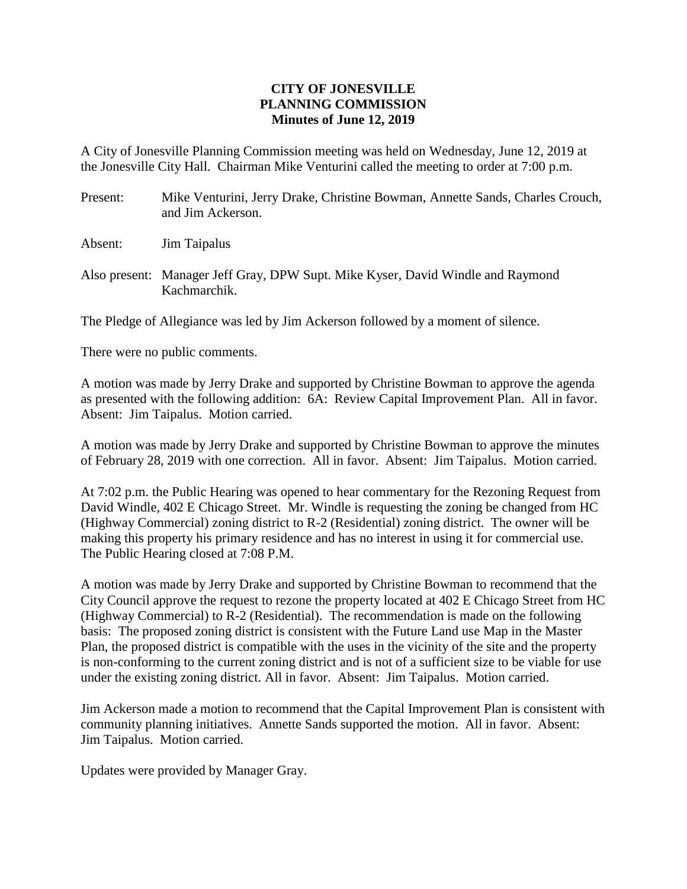## **CITY OF JONESVILLE PLANNING COMMISSION Minutes of June 12, 2019**

A City of Jonesville Planning Commission meeting was held on Wednesday, June 12, 2019 at the Jonesville City Hall. Chairman Mike Venturini called the meeting to order at 7:00 p.m.

Present: Mike Venturini, Jerry Drake, Christine Bowman, Annette Sands, Charles Crouch, and Jim Ackerson.

Absent: Jim Taipalus

Also present: Manager Jeff Gray, DPW Supt. Mike Kyser, David Windle and Raymond Kachmarchik.

The Pledge of Allegiance was led by Jim Ackerson followed by a moment of silence.

There were no public comments.

A motion was made by Jerry Drake and supported by Christine Bowman to approve the agenda as presented with the following addition: 6A: Review Capital Improvement Plan. All in favor. Absent: Jim Taipalus. Motion carried.

A motion was made by Jerry Drake and supported by Christine Bowman to approve the minutes of February 28, 2019 with one correction. All in favor. Absent: Jim Taipalus. Motion carried.

At 7:02 p.m. the Public Hearing was opened to hear commentary for the Rezoning Request from David Windle, 402 E Chicago Street. Mr. Windle is requesting the zoning be changed from HC (Highway Commercial) zoning district to R-2 (Residential) zoning district. The owner will be making this property his primary residence and has no interest in using it for commercial use. The Public Hearing closed at 7:08 P.M.

A motion was made by Jerry Drake and supported by Christine Bowman to recommend that the City Council approve the request to rezone the property located at 402 E Chicago Street from HC (Highway Commercial) to R-2 (Residential). The recommendation is made on the following basis: The proposed zoning district is consistent with the Future Land use Map in the Master Plan, the proposed district is compatible with the uses in the vicinity of the site and the property is non-conforming to the current zoning district and is not of a sufficient size to be viable for use under the existing zoning district. All in favor. Absent: Jim Taipalus. Motion carried.

Jim Ackerson made a motion to recommend that the Capital Improvement Plan is consistent with community planning initiatives. Annette Sands supported the motion. All in favor. Absent: Jim Taipalus. Motion carried.

Updates were provided by Manager Gray.